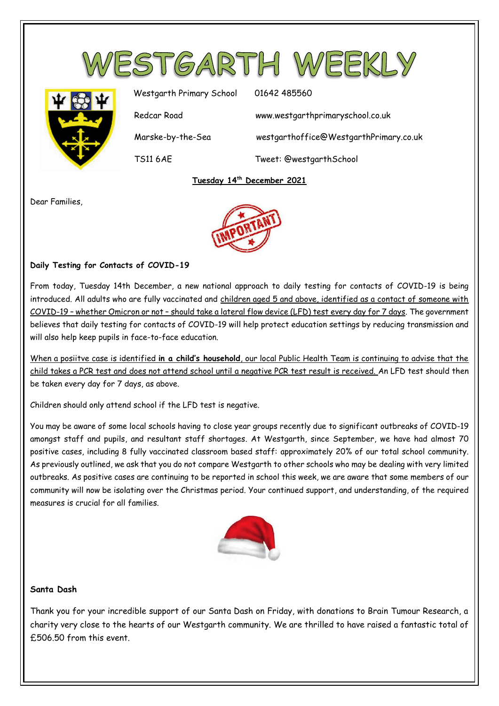



Westgarth Primary School 01642 485560 Redcar Road www.westgarthprimaryschool.co.uk Marske-by-the-Sea westgarthoffice@WestgarthPrimary.co.uk TS11 6AE Tweet: @westgarthSchool

## **Tuesday 14th December 2021**

Dear Families,



## **Daily Testing for Contacts of COVID-19**

From today, Tuesday 14th December, a new national approach to daily testing for contacts of COVID-19 is being introduced. All adults who are fully vaccinated and children aged 5 and above, identified as a contact of someone with COVID-19 – whether Omicron or not – should take a lateral flow device (LFD) test every day for 7 days. The government believes that daily testing for contacts of COVID-19 will help protect education settings by reducing transmission and will also help keep pupils in face-to-face education.

When a posiitve case is identified **in a child's household**, our local Public Health Team is continuing to advise that the child takes a PCR test and does not attend school until a negative PCR test result is received. An LFD test should then be taken every day for 7 days, as above.

Children should only attend school if the LFD test is negative.

You may be aware of some local schools having to close year groups recently due to significant outbreaks of COVID-19 amongst staff and pupils, and resultant staff shortages. At Westgarth, since September, we have had almost 70 positive cases, including 8 fully vaccinated classroom based staff: approximately 20% of our total school community. As previously outlined, we ask that you do not compare Westgarth to other schools who may be dealing with very limited outbreaks. As positive cases are continuing to be reported in school this week, we are aware that some members of our community will now be isolating over the Christmas period. Your continued support, and understanding, of the required measures is crucial for all families.



#### **Santa Dash**

Thank you for your incredible support of our Santa Dash on Friday, with donations to Brain Tumour Research, a charity very close to the hearts of our Westgarth community. We are thrilled to have raised a fantastic total of £506.50 from this event.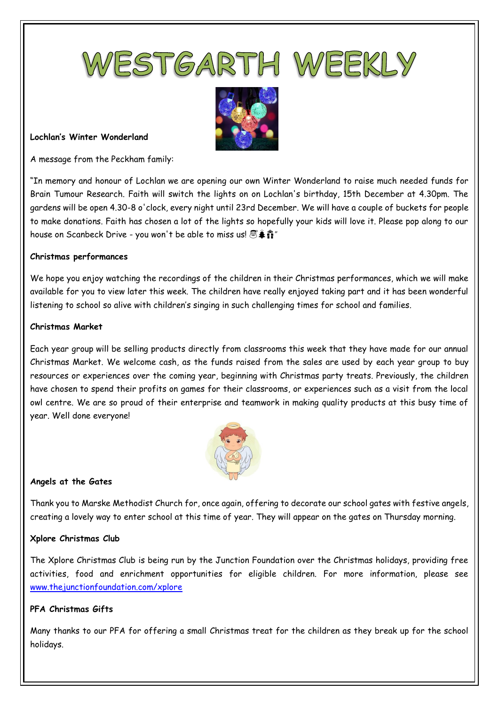



#### **Lochlan's Winter Wonderland**

A message from the Peckham family:

"In memory and honour of Lochlan we are opening our own Winter Wonderland to raise much needed funds for Brain Tumour Research. Faith will switch the lights on on Lochlan's birthday, 15th December at 4.30pm. The gardens will be open 4.30-8 o'clock, every night until 23rd December. We will have a couple of buckets for people to make donations. Faith has chosen a lot of the lights so hopefully your kids will love it. Please pop along to our house on Scanbeck Drive - you won't be able to miss us!  $\mathbb{S}$ . if "

#### **Christmas performances**

We hope you enjoy watching the recordings of the children in their Christmas performances, which we will make available for you to view later this week. The children have really enjoyed taking part and it has been wonderful listening to school so alive with children's singing in such challenging times for school and families.

#### **Christmas Market**

Each year group will be selling products directly from classrooms this week that they have made for our annual Christmas Market. We welcome cash, as the funds raised from the sales are used by each year group to buy resources or experiences over the coming year, beginning with Christmas party treats. Previously, the children have chosen to spend their profits on games for their classrooms, or experiences such as a visit from the local owl centre. We are so proud of their enterprise and teamwork in making quality products at this busy time of year. Well done everyone!



#### **Angels at the Gates**

Thank you to Marske Methodist Church for, once again, offering to decorate our school gates with festive angels, creating a lovely way to enter school at this time of year. They will appear on the gates on Thursday morning.

## **Xplore Christmas Club**

The Xplore Christmas Club is being run by the Junction Foundation over the Christmas holidays, providing free activities, food and enrichment opportunities for eligible children. For more information, please see [www.thejunctionfoundation.com/xplore](http://www.thejunctionfoundation.com/xplore) 

## **PFA Christmas Gifts**

Many thanks to our PFA for offering a small Christmas treat for the children as they break up for the school holidays.